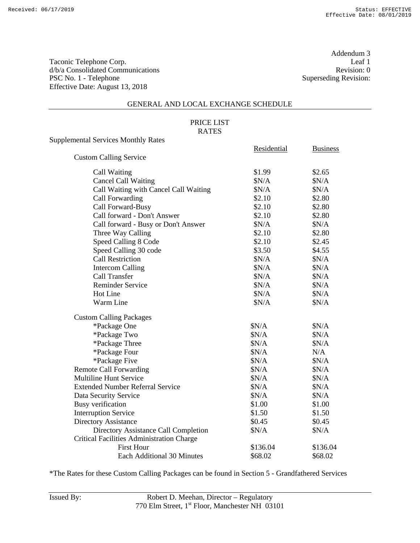Addendum 3<br>Leaf 1

### GENERAL AND LOCAL EXCHANGE SCHEDULE

### PRICE LIST RATES

Supplemental Services Monthly Rates

|                                                  | Residential | <b>Business</b> |
|--------------------------------------------------|-------------|-----------------|
| <b>Custom Calling Service</b>                    |             |                 |
| Call Waiting                                     | \$1.99      | \$2.65          |
| <b>Cancel Call Waiting</b>                       | \$N/A       | \$N/A           |
| Call Waiting with Cancel Call Waiting            | \$N/A       | \$N/A           |
| Call Forwarding                                  | \$2.10      | \$2.80          |
| Call Forward-Busy                                | \$2.10      | \$2.80          |
| Call forward - Don't Answer                      | \$2.10      | \$2.80          |
| Call forward - Busy or Don't Answer              | \$N/A       | \$N/A           |
| Three Way Calling                                | \$2.10      | \$2.80          |
| Speed Calling 8 Code                             | \$2.10      | \$2.45          |
| Speed Calling 30 code                            | \$3.50      | \$4.55          |
| <b>Call Restriction</b>                          | \$N/A       | \$N/A           |
| <b>Intercom Calling</b>                          | \$N/A       | \$N/A           |
| Call Transfer                                    | \$N/A       | \$N/A           |
| <b>Reminder Service</b>                          | \$N/A       | \$N/A           |
| Hot Line                                         | \$N/A       | \$N/A           |
| Warm Line                                        | \$N/A       | \$N/A           |
| <b>Custom Calling Packages</b>                   |             |                 |
| *Package One                                     | \$N/A       | \$N/A           |
| *Package Two                                     | \$N/A       | \$N/A           |
| *Package Three                                   | \$N/A       | \$N/A           |
| *Package Four                                    | \$N/A       | N/A             |
| *Package Five                                    | \$N/A       | \$N/A           |
| <b>Remote Call Forwarding</b>                    | \$N/A       | \$N/A           |
| <b>Multiline Hunt Service</b>                    | \$N/A       | \$N/A           |
| <b>Extended Number Referral Service</b>          | \$N/A       | \$N/A           |
| Data Security Service                            | \$N/A       | \$N/A           |
| <b>Busy</b> verification                         | \$1.00      | \$1.00          |
| <b>Interruption Service</b>                      | \$1.50      | \$1.50          |
| Directory Assistance                             | \$0.45      | \$0.45          |
| Directory Assistance Call Completion             | \$N/A       | \$N/A           |
| <b>Critical Facilities Administration Charge</b> |             |                 |
| <b>First Hour</b>                                | \$136.04    | \$136.04        |
| Each Additional 30 Minutes                       | \$68.02     | \$68.02         |

\*The Rates for these Custom Calling Packages can be found in Section 5 - Grandfathered Services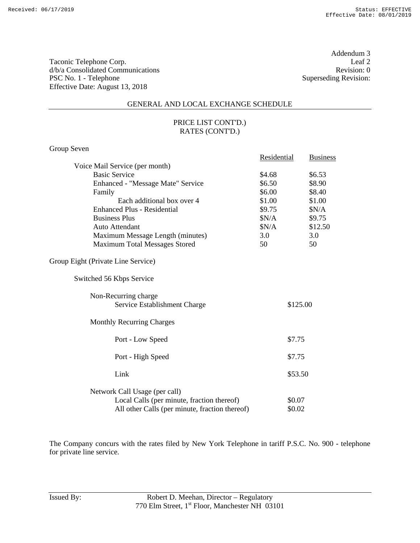Addendum 3<br>Leaf 2

#### GENERAL AND LOCAL EXCHANGE SCHEDULE

## PRICE LIST CONT'D.) RATES (CONT'D.)

# Group Seven

|                                                      | Residential |          | <b>Business</b> |
|------------------------------------------------------|-------------|----------|-----------------|
| Voice Mail Service (per month)                       |             |          |                 |
| <b>Basic Service</b>                                 | \$4.68      |          | \$6.53          |
| Enhanced - "Message Mate" Service                    | \$6.50      |          | \$8.90          |
| Family                                               | \$6.00      |          | \$8.40          |
| Each additional box over 4                           | \$1.00      |          | \$1.00          |
| <b>Enhanced Plus - Residential</b>                   | \$9.75      |          | \$N/A           |
| <b>Business Plus</b>                                 | \$N/A       |          | \$9.75          |
| Auto Attendant                                       | N/A         |          | \$12.50         |
| Maximum Message Length (minutes)                     | 3.0         |          | 3.0             |
| Maximum Total Messages Stored                        | 50          |          | 50              |
| Group Eight (Private Line Service)                   |             |          |                 |
| Switched 56 Kbps Service                             |             |          |                 |
| Non-Recurring charge<br>Service Establishment Charge |             | \$125.00 |                 |
| <b>Monthly Recurring Charges</b>                     |             |          |                 |
| Port - Low Speed                                     |             | \$7.75   |                 |
| Port - High Speed                                    |             | \$7.75   |                 |
| Link                                                 |             | \$53.50  |                 |
| Network Call Usage (per call)                        |             |          |                 |
| Local Calls (per minute, fraction thereof)           |             | \$0.07   |                 |
| All other Calls (per minute, fraction thereof)       |             | \$0.02   |                 |

The Company concurs with the rates filed by New York Telephone in tariff P.S.C. No. 900 - telephone for private line service.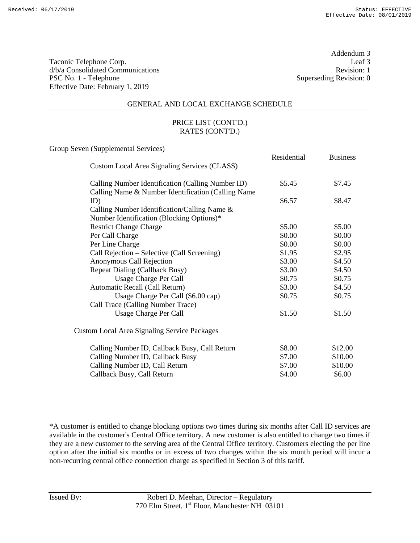Taconic Telephone Corp. Leaf 3<br>  $d/b/a$  Consolidated Communications Revision: 1 d/b/a Consolidated Communications PSC No. 1 - Telephone Superseding Revision: 0 Effective Date: February 1, 2019

Addendum 3

Residential Business

#### GENERAL AND LOCAL EXCHANGE SCHEDULE

### PRICE LIST (CONT'D.) RATES (CONT'D.)

Group Seven (Supplemental Services)

| Custom Local Area Signaling Services (CLASS)                                                             |        |         |
|----------------------------------------------------------------------------------------------------------|--------|---------|
| Calling Number Identification (Calling Number ID)<br>Calling Name & Number Identification (Calling Name) | \$5.45 | \$7.45  |
| ID)                                                                                                      | \$6.57 | \$8.47  |
| Calling Number Identification/Calling Name &                                                             |        |         |
| Number Identification (Blocking Options)*                                                                |        |         |
| <b>Restrict Change Charge</b>                                                                            | \$5.00 | \$5.00  |
| Per Call Charge                                                                                          | \$0.00 | \$0.00  |
| Per Line Charge                                                                                          | \$0.00 | \$0.00  |
| Call Rejection - Selective (Call Screening)                                                              | \$1.95 | \$2.95  |
| Anonymous Call Rejection                                                                                 | \$3.00 | \$4.50  |
| <b>Repeat Dialing (Callback Busy)</b>                                                                    | \$3.00 | \$4.50  |
| Usage Charge Per Call                                                                                    | \$0.75 | \$0.75  |
| Automatic Recall (Call Return)                                                                           | \$3.00 | \$4.50  |
| Usage Charge Per Call (\$6.00 cap)                                                                       | \$0.75 | \$0.75  |
| Call Trace (Calling Number Trace)                                                                        |        |         |
| Usage Charge Per Call                                                                                    | \$1.50 | \$1.50  |
| <b>Custom Local Area Signaling Service Packages</b>                                                      |        |         |
| Calling Number ID, Callback Busy, Call Return                                                            | \$8.00 | \$12.00 |
| Calling Number ID, Callback Busy                                                                         | \$7.00 | \$10.00 |
| Calling Number ID, Call Return                                                                           | \$7.00 | \$10.00 |
| Callback Busy, Call Return                                                                               | \$4.00 | \$6.00  |

\*A customer is entitled to change blocking options two times during six months after Call ID services are available in the customer's Central Office territory. A new customer is also entitled to change two times if they are a new customer to the serving area of the Central Office territory. Customers electing the per line option after the initial six months or in excess of two changes within the six month period will incur a non-recurring central office connection charge as specified in Section 3 of this tariff.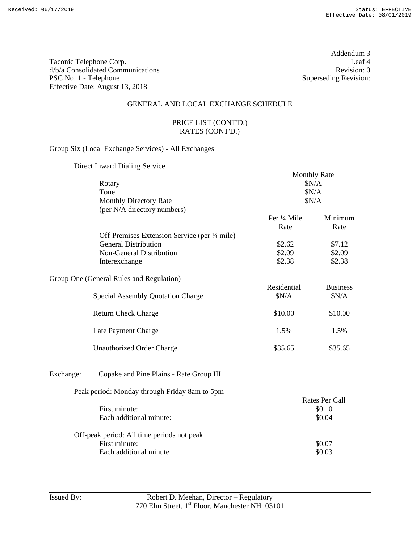Addendum 3

# GENERAL AND LOCAL EXCHANGE SCHEDULE

### PRICE LIST (CONT'D.) RATES (CONT'D.)

Group Six (Local Exchange Services) - All Exchanges

Direct Inward Dialing Service

|           |                                               | <b>Monthly Rate</b><br>\$N/A<br>\$N/A<br>\$N/A |                 |  |
|-----------|-----------------------------------------------|------------------------------------------------|-----------------|--|
|           | Rotary                                        |                                                |                 |  |
|           | Tone                                          |                                                |                 |  |
|           | <b>Monthly Directory Rate</b>                 |                                                |                 |  |
|           | (per N/A directory numbers)                   |                                                |                 |  |
|           |                                               | Per ¼ Mile                                     | Minimum         |  |
|           |                                               | Rate                                           | Rate            |  |
|           | Off-Premises Extension Service (per 1/4 mile) |                                                |                 |  |
|           | <b>General Distribution</b>                   | \$2.62                                         | \$7.12          |  |
|           | Non-General Distribution                      | \$2.09                                         | \$2.09          |  |
|           | Interexchange                                 | \$2.38                                         | \$2.38          |  |
|           |                                               |                                                |                 |  |
|           | Group One (General Rules and Regulation)      |                                                |                 |  |
|           |                                               | Residential                                    | <b>Business</b> |  |
|           | <b>Special Assembly Quotation Charge</b>      | \$N/A                                          | \$N/A           |  |
|           |                                               |                                                |                 |  |
|           | <b>Return Check Charge</b>                    | \$10.00                                        | \$10.00         |  |
|           |                                               |                                                |                 |  |
|           | Late Payment Charge                           | 1.5%                                           | 1.5%            |  |
|           |                                               |                                                |                 |  |
|           | Unauthorized Order Charge                     | \$35.65                                        | \$35.65         |  |
|           |                                               |                                                |                 |  |
|           |                                               |                                                |                 |  |
| Exchange: | Copake and Pine Plains - Rate Group III       |                                                |                 |  |
|           | Peak period: Monday through Friday 8am to 5pm |                                                |                 |  |
|           |                                               |                                                | Rates Per Call  |  |
|           | First minute:                                 |                                                | \$0.10          |  |
|           | Each additional minute:                       |                                                | \$0.04          |  |
|           | Off-peak period: All time periods not peak    |                                                |                 |  |
|           | First minute:                                 |                                                | \$0.07          |  |
|           | Each additional minute                        |                                                | \$0.03          |  |
|           |                                               |                                                |                 |  |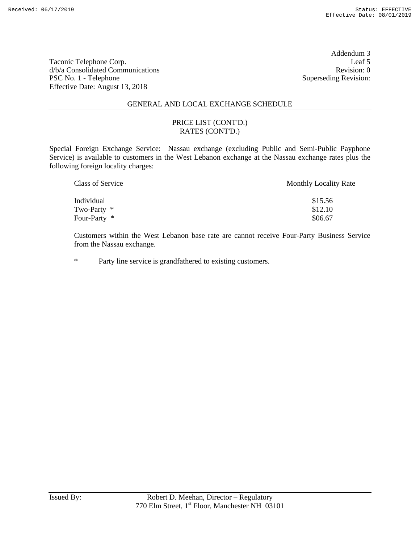Addendum 3

#### GENERAL AND LOCAL EXCHANGE SCHEDULE

#### PRICE LIST (CONT'D.) RATES (CONT'D.)

Special Foreign Exchange Service: Nassau exchange (excluding Public and Semi-Public Payphone Service) is available to customers in the West Lebanon exchange at the Nassau exchange rates plus the following foreign locality charges:

| Class of Service | <b>Monthly Locality Rate</b> |
|------------------|------------------------------|
|                  |                              |
| Individual       | \$15.56                      |
| Two-Party $*$    | \$12.10                      |
| Four-Party *     | \$06.67                      |

Customers within the West Lebanon base rate are cannot receive Four-Party Business Service from the Nassau exchange.

\* Party line service is grandfathered to existing customers.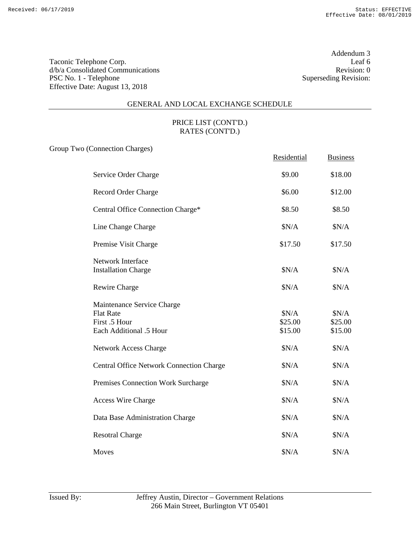Addendum 3<br>Leaf 6

# GENERAL AND LOCAL EXCHANGE SCHEDULE

## PRICE LIST (CONT'D.) RATES (CONT'D.)

Group Two (Connection Charges)

|                                                                                            | Residential                 | <b>Business</b>             |
|--------------------------------------------------------------------------------------------|-----------------------------|-----------------------------|
| Service Order Charge                                                                       | \$9.00                      | \$18.00                     |
| Record Order Charge                                                                        | \$6.00                      | \$12.00                     |
| Central Office Connection Charge*                                                          | \$8.50                      | \$8.50                      |
| Line Change Charge                                                                         | \$N/A                       | \$N/A                       |
| Premise Visit Charge                                                                       | \$17.50                     | \$17.50                     |
| <b>Network Interface</b><br><b>Installation Charge</b>                                     | \$N/A                       | \$N/A                       |
| Rewire Charge                                                                              | \$N/A                       | \$N/A                       |
| Maintenance Service Charge<br><b>Flat Rate</b><br>First .5 Hour<br>Each Additional .5 Hour | \$N/A<br>\$25.00<br>\$15.00 | \$N/A<br>\$25.00<br>\$15.00 |
| <b>Network Access Charge</b>                                                               | \$N/A                       | \$N/A                       |
| <b>Central Office Network Connection Charge</b>                                            | \$N/A                       | \$N/A                       |
| Premises Connection Work Surcharge                                                         | \$N/A                       | \$N/A                       |
| <b>Access Wire Charge</b>                                                                  | \$N/A                       | \$N/A                       |
| Data Base Administration Charge                                                            | \$N/A                       | \$N/A                       |
| <b>Resotral Charge</b>                                                                     | \$N/A                       | \$N/A                       |
| Moves                                                                                      | \$N/A                       | \$N/A                       |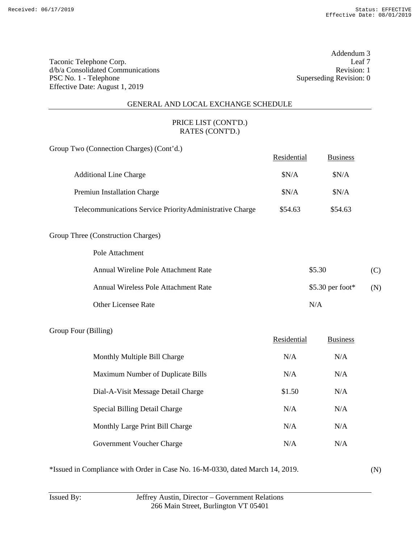Addendum 3<br>Leaf 7

#### GENERAL AND LOCAL EXCHANGE SCHEDULE

# PRICE LIST (CONT'D.) RATES (CONT'D.)

Group Two (Connection Charges) (Cont'd.)

|                                                           | Residential | <b>Business</b> |
|-----------------------------------------------------------|-------------|-----------------|
| <b>Additional Line Charge</b>                             | SN/A        | \$N/A           |
| <b>Premiun Installation Charge</b>                        | SN/A        | \$N/A           |
| Telecommunications Service Priority Administrative Charge | \$54.63     | \$54.63         |

#### Group Three (Construction Charges)

Pole Attachment

| Annual Wireline Pole Attachment Rate | \$5.30           | (C) |
|--------------------------------------|------------------|-----|
| Annual Wireless Pole Attachment Rate | \$5.30 per foot* | (N) |
| <b>Other Licensee Rate</b>           | N/A              |     |

#### Group Four (Billing)

|                                    | Residential | <b>Business</b> |
|------------------------------------|-------------|-----------------|
| Monthly Multiple Bill Charge       | N/A         | N/A             |
| Maximum Number of Duplicate Bills  | N/A         | N/A             |
| Dial-A-Visit Message Detail Charge | \$1.50      | N/A             |
| Special Billing Detail Charge      | N/A         | N/A             |
| Monthly Large Print Bill Charge    | N/A         | N/A             |
| Government Voucher Charge          | N/A         | N/A             |

\*Issued in Compliance with Order in Case No. 16-M-0330, dated March 14, 2019.

(N)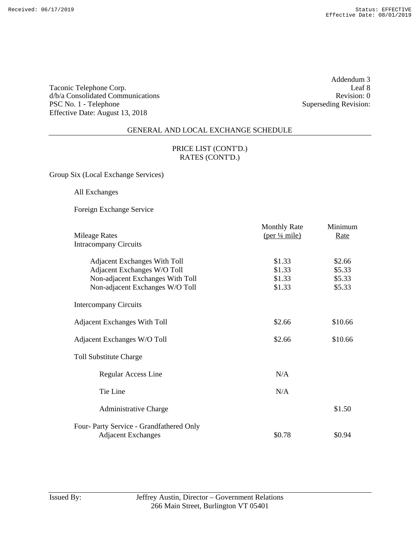Addendum 3 Superseding Revision:

#### GENERAL AND LOCAL EXCHANGE SCHEDULE

### PRICE LIST (CONT'D.) RATES (CONT'D.)

Group Six (Local Exchange Services)

All Exchanges

Foreign Exchange Service

| <b>Mileage Rates</b>                    | <b>Monthly Rate</b><br>$(\text{per } \frac{1}{4} \text{ mile})$ | Minimum<br>Rate |
|-----------------------------------------|-----------------------------------------------------------------|-----------------|
| <b>Intracompany Circuits</b>            |                                                                 |                 |
| <b>Adjacent Exchanges With Toll</b>     | \$1.33                                                          | \$2.66          |
| Adjacent Exchanges W/O Toll             | \$1.33                                                          | \$5.33          |
| Non-adjacent Exchanges With Toll        | \$1.33                                                          | \$5.33          |
| Non-adjacent Exchanges W/O Toll         | \$1.33                                                          | \$5.33          |
| <b>Intercompany Circuits</b>            |                                                                 |                 |
| <b>Adjacent Exchanges With Toll</b>     | \$2.66                                                          | \$10.66         |
| Adjacent Exchanges W/O Toll             | \$2.66                                                          | \$10.66         |
| <b>Toll Substitute Charge</b>           |                                                                 |                 |
| Regular Access Line                     | N/A                                                             |                 |
| Tie Line                                | N/A                                                             |                 |
| <b>Administrative Charge</b>            |                                                                 | \$1.50          |
| Four-Party Service - Grandfathered Only |                                                                 |                 |
| <b>Adjacent Exchanges</b>               | \$0.78                                                          | \$0.94          |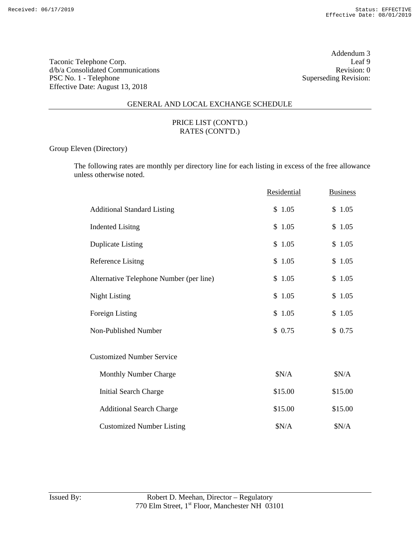Addendum 3<br>Leaf 9

## GENERAL AND LOCAL EXCHANGE SCHEDULE

### PRICE LIST (CONT'D.) RATES (CONT'D.)

Group Eleven (Directory)

The following rates are monthly per directory line for each listing in excess of the free allowance unless otherwise noted.

|                                         | Residential | <b>Business</b> |
|-----------------------------------------|-------------|-----------------|
| <b>Additional Standard Listing</b>      | \$1.05      | \$1.05          |
| <b>Indented Lisitng</b>                 | \$1.05      | \$1.05          |
| <b>Duplicate Listing</b>                | \$1.05      | \$1.05          |
| Reference Lisitng                       | \$1.05      | \$1.05          |
| Alternative Telephone Number (per line) | \$1.05      | \$1.05          |
| <b>Night Listing</b>                    | \$1.05      | \$1.05          |
| Foreign Listing                         | \$1.05      | \$1.05          |
| Non-Published Number                    | \$0.75      | \$0.75          |
| <b>Customized Number Service</b>        |             |                 |
| Monthly Number Charge                   | \$N/A       | \$N/A           |
| <b>Initial Search Charge</b>            | \$15.00     | \$15.00         |
| <b>Additional Search Charge</b>         | \$15.00     | \$15.00         |
| <b>Customized Number Listing</b>        | \$N/A       | \$N/A           |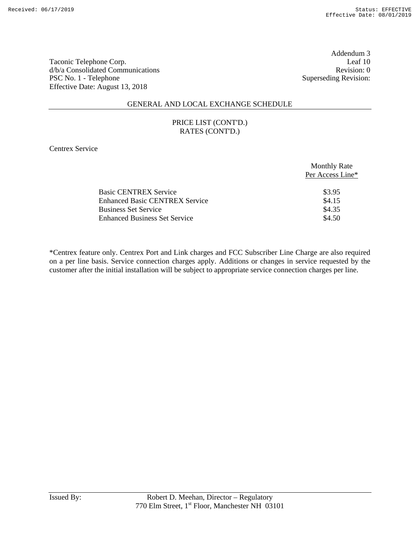Addendum 3<br>Leaf 10

## GENERAL AND LOCAL EXCHANGE SCHEDULE

### PRICE LIST (CONT'D.) RATES (CONT'D.)

Centrex Service

|                                       | <b>Monthly Rate</b><br>Per Access Line* |
|---------------------------------------|-----------------------------------------|
| <b>Basic CENTREX Service</b>          | \$3.95                                  |
| <b>Enhanced Basic CENTREX Service</b> | \$4.15                                  |
| <b>Business Set Service</b>           | \$4.35                                  |
| <b>Enhanced Business Set Service</b>  | \$4.50                                  |
|                                       |                                         |

\*Centrex feature only. Centrex Port and Link charges and FCC Subscriber Line Charge are also required on a per line basis. Service connection charges apply. Additions or changes in service requested by the customer after the initial installation will be subject to appropriate service connection charges per line.